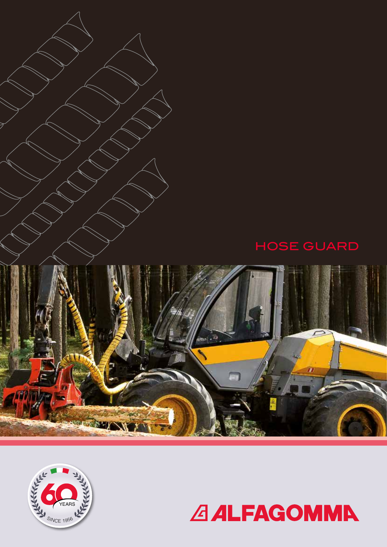